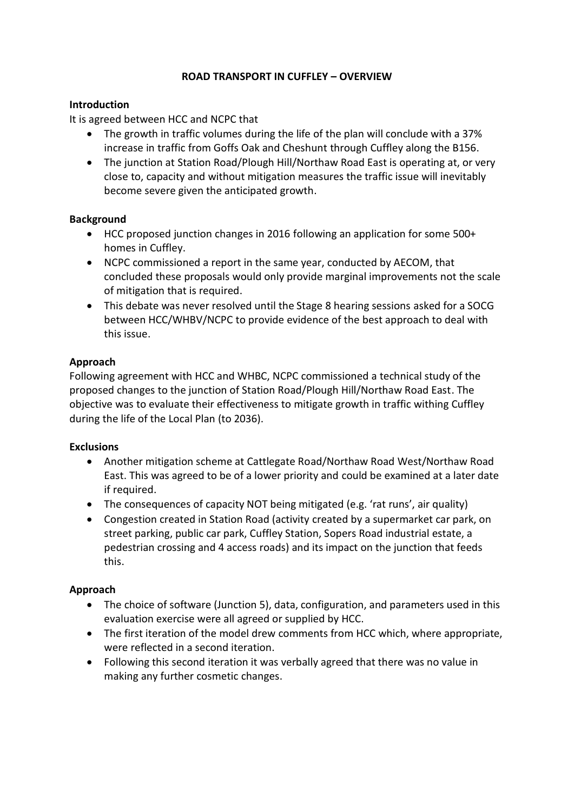## **ROAD TRANSPORT IN CUFFLEY – OVERVIEW**

## **Introduction**

It is agreed between HCC and NCPC that

- The growth in traffic volumes during the life of the plan will conclude with a 37% increase in traffic from Goffs Oak and Cheshunt through Cuffley along the B156.
- The junction at Station Road/Plough Hill/Northaw Road East is operating at, or very close to, capacity and without mitigation measures the traffic issue will inevitably become severe given the anticipated growth.

### **Background**

- HCC proposed junction changes in 2016 following an application for some 500+ homes in Cuffley.
- NCPC commissioned a report in the same year, conducted by AECOM, that concluded these proposals would only provide marginal improvements not the scale of mitigation that is required.
- This debate was never resolved until the Stage 8 hearing sessions asked for a SOCG between HCC/WHBV/NCPC to provide evidence of the best approach to deal with this issue.

# **Approach**

Following agreement with HCC and WHBC, NCPC commissioned a technical study of the proposed changes to the junction of Station Road/Plough Hill/Northaw Road East. The objective was to evaluate their effectiveness to mitigate growth in traffic withing Cuffley during the life of the Local Plan (to 2036).

#### **Exclusions**

- Another mitigation scheme at Cattlegate Road/Northaw Road West/Northaw Road East. This was agreed to be of a lower priority and could be examined at a later date if required.
- The consequences of capacity NOT being mitigated (e.g. 'rat runs', air quality)
- Congestion created in Station Road (activity created by a supermarket car park, on street parking, public car park, Cuffley Station, Sopers Road industrial estate, a pedestrian crossing and 4 access roads) and its impact on the junction that feeds this.

# **Approach**

- The choice of software (Junction 5), data, configuration, and parameters used in this evaluation exercise were all agreed or supplied by HCC.
- The first iteration of the model drew comments from HCC which, where appropriate, were reflected in a second iteration.
- Following this second iteration it was verbally agreed that there was no value in making any further cosmetic changes.